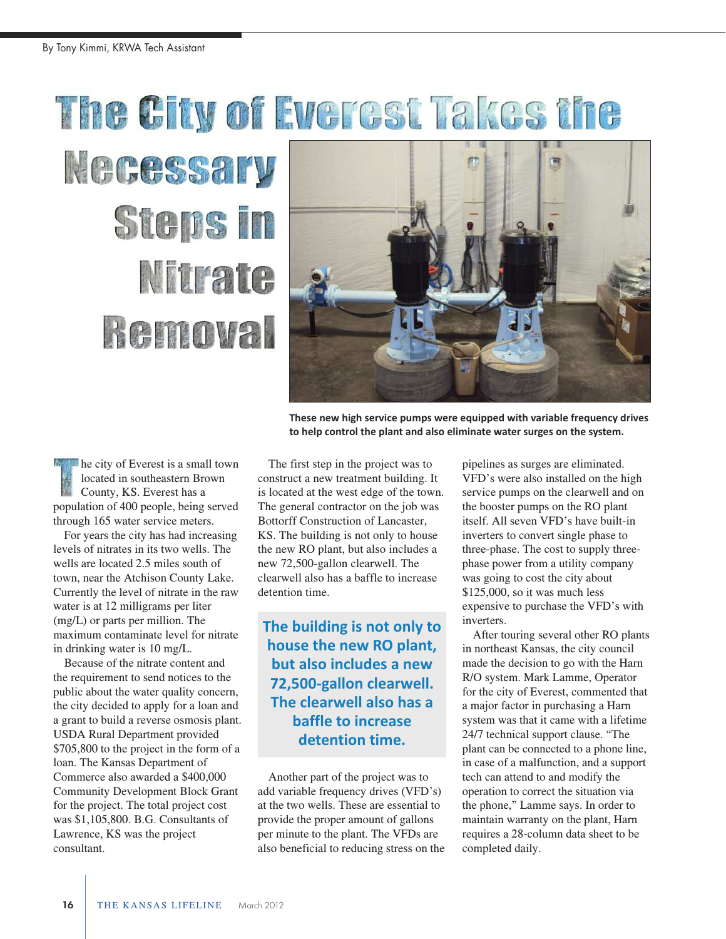## The City of Everest Takes the

## Necessary **Steps in** Nitrate **Removal**



**These new high service pumps were equipped with variable frequency drives to help control the plant and also eliminate water surges on the system.**

he city of Everest is a small town located in southeastern Brown County, KS. Everest has a population of 400 people, being served through 165 water service meters.

For years the city has had increasing levels of nitrates in its two wells. The wells are located 2.5 miles south of town, near the Atchison County Lake. Currently the level of nitrate in the raw water is at 12 milligrams per liter (mg/L) or parts per million. The maximum contaminate level for nitrate in drinking water is 10 mg/L.

Because of the nitrate content and the requirement to send notices to the public about the water quality concern, the city decided to apply for a loan and a grant to build a reverse osmosis plant. USDA Rural Department provided \$705,800 to the project in the form of a loan. The Kansas Department of Commerce also awarded a \$400,000 Community Development Block Grant for the project. The total project cost was \$1,105,800. B.G. Consultants of Lawrence, KS was the project consultant.

The first step in the project was to construct a new treatment building. It is located at the west edge of the town. The general contractor on the job was Bottorff Construction of Lancaster, KS. The building is not only to house the new RO plant, but also includes a new 72,500-gallon clearwell. The clearwell also has a baffle to increase detention time.

## **The building is not only to house the new RO plant, but also includes a new 72,500-gallon clearwell. The clearwell also has a baffle to increase detention time.**

Another part of the project was to add variable frequency drives (VFD's) at the two wells. These are essential to provide the proper amount of gallons per minute to the plant. The VFDs are also beneficial to reducing stress on the pipelines as surges are eliminated. VFD's were also installed on the high service pumps on the clearwell and on the booster pumps on the RO plant itself. All seven VFD's have built-in inverters to convert single phase to three-phase. The cost to supply threephase power from a utility company was going to cost the city about \$125,000, so it was much less expensive to purchase the VFD's with inverters.

After touring several other RO plants in northeast Kansas, the city council made the decision to go with the Harn R/O system. Mark Lamme, Operator for the city of Everest, commented that a major factor in purchasing a Harn system was that it came with a lifetime 24/7 technical support clause. "The plant can be connected to a phone line, in case of a malfunction, and a support tech can attend to and modify the operation to correct the situation via the phone," Lamme says. In order to maintain warranty on the plant, Harn requires a 28-column data sheet to be completed daily.